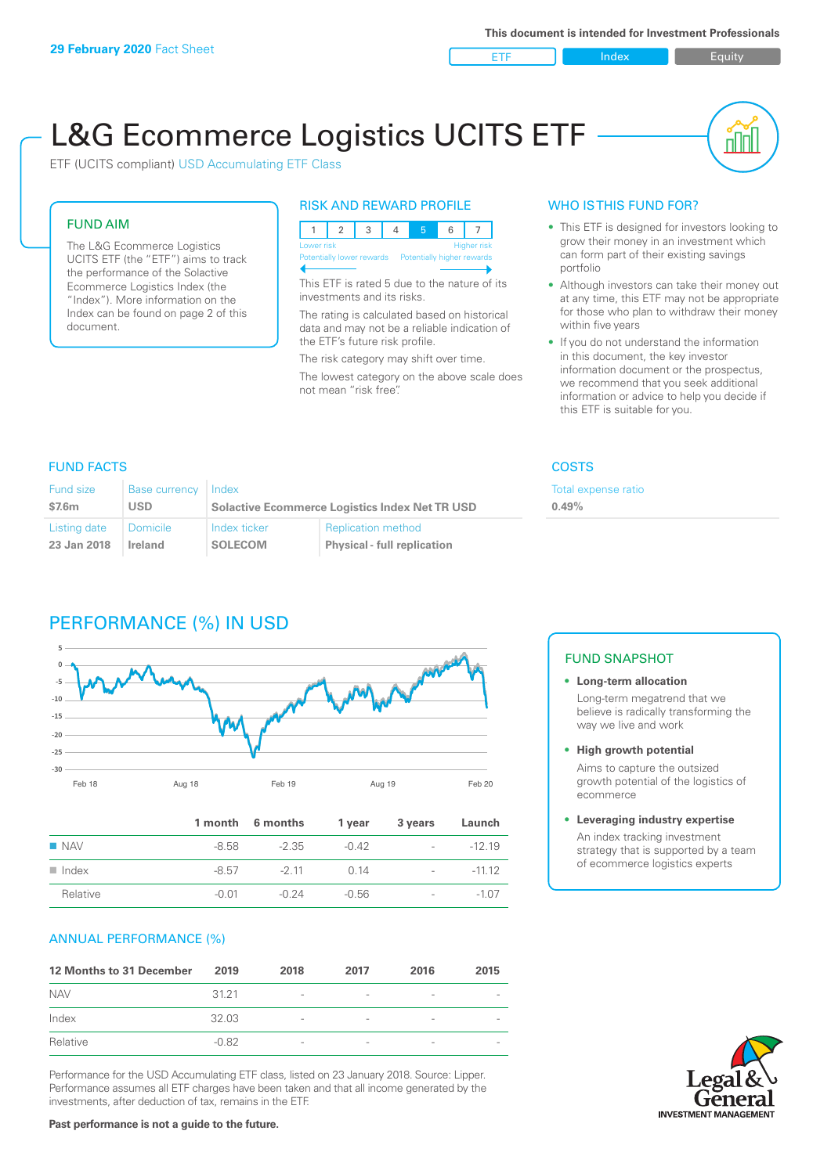ETF Index Builty

nl IN

# L&G Ecommerce Logistics UCITS ETF

ETF (UCITS compliant) USD Accumulating ETF Class

### FUND AIM

The L&G Ecommerce Logistics UCITS ETF (the "ETF") aims to track the performance of the Solactive Ecommerce Logistics Index (the "Index"). More information on the Index can be found on page 2 of this document.

### RISK AND REWARD PROFILE

| <b>Higher risk</b><br>Lower risk |  |  |  |                                                      |  |  |  |  |
|----------------------------------|--|--|--|------------------------------------------------------|--|--|--|--|
|                                  |  |  |  | Potentially lower rewards Potentially higher rewards |  |  |  |  |
|                                  |  |  |  |                                                      |  |  |  |  |

This ETF is rated 5 due to the nature of its investments and its risks.

The rating is calculated based on historical data and may not be a reliable indication of the ETF's future risk profile.

The risk category may shift over time. The lowest category on the above scale does not mean "risk free".

### WHO IS THIS FUND FOR?

- This ETF is designed for investors looking to grow their money in an investment which can form part of their existing savings portfolio
- Although investors can take their money out at any time, this ETF may not be appropriate for those who plan to withdraw their money within five years
- If you do not understand the information in this document, the key investor information document or the prospectus, we recommend that you seek additional information or advice to help you decide if this ETF is suitable for you.

**0.49%**

Total expense ratio

### FUND FACTS COSTS

| <b>Fund size</b> | <b>Base currency</b> | Index                                                 |                                    |  |
|------------------|----------------------|-------------------------------------------------------|------------------------------------|--|
| \$7.6m           | USD                  | <b>Solactive Ecommerce Logistics Index Net TR USD</b> |                                    |  |
| Listing date     | Domicile             | Index ticker                                          | <b>Replication method</b>          |  |
| 23 Jan 2018      | Ireland              | <b>SOLECOM</b>                                        | <b>Physical - full replication</b> |  |

### PERFORMANCE (%) IN USD



|                      |       | 1 month 6 months | 1 year  | 3 years                  | Launch   |
|----------------------|-------|------------------|---------|--------------------------|----------|
| $\blacksquare$ NAV   | -8.58 | -2.35            | $-0.42$ | $\sim$                   | $-12.19$ |
| $\blacksquare$ Index | -8.57 | $-2.11$          | 0.14    | $\sim$                   | $-1112$  |
| Relative             | -0.01 | -0.24            | -0.56   | $\overline{\phantom{a}}$ | $-1.07$  |

### ANNUAL PERFORMANCE (%)

| 12 Months to 31 December | 2019    | 2018                     | 2017                     | 2016                     | 2015                     |
|--------------------------|---------|--------------------------|--------------------------|--------------------------|--------------------------|
| <b>NAV</b>               | 3121    | $\overline{\phantom{a}}$ | $\qquad \qquad$          | $\qquad \qquad$          | $\overline{\phantom{a}}$ |
| Index                    | 32.03   | $\overline{\phantom{a}}$ | $\overline{\phantom{0}}$ | $\overline{\phantom{a}}$ | $\overline{\phantom{a}}$ |
| Relative                 | $-0.82$ | $\overline{\phantom{a}}$ | $\overline{\phantom{a}}$ |                          | $\overline{\phantom{a}}$ |

Performance for the USD Accumulating ETF class, listed on 23 January 2018. Source: Lipper. Performance assumes all ETF charges have been taken and that all income generated by the investments, after deduction of tax, remains in the ETF.

### FUND SNAPSHOT

- **• Long-term allocation** Long-term megatrend that we believe is radically transforming the way we live and work
- **• High growth potential**

Aims to capture the outsized growth potential of the logistics of ecommerce

#### **• Leveraging industry expertise**

An index tracking investment strategy that is supported by a team of ecommerce logistics experts

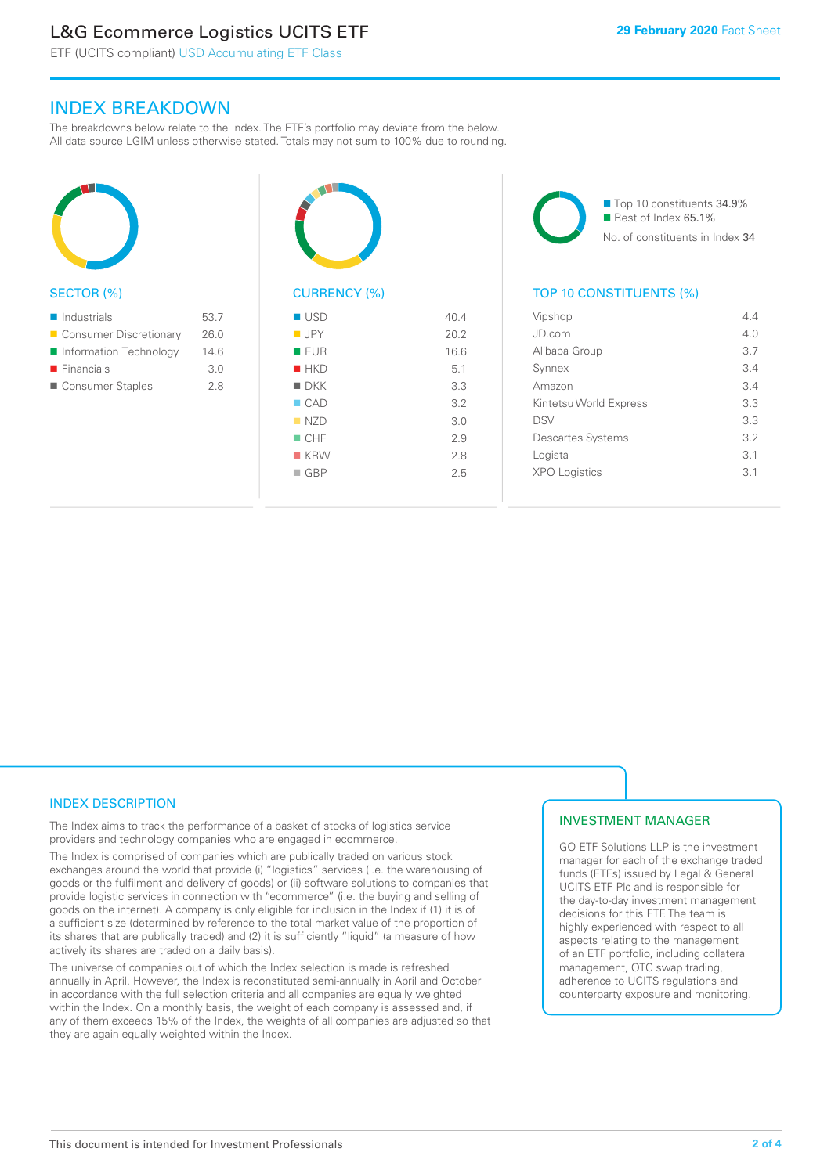### L&G Ecommerce Logistics UCITS ETF

ETF (UCITS compliant) USD Accumulating ETF Class

### INDEX BREAKDOWN

The breakdowns below relate to the Index. The ETF's portfolio may deviate from the below. All data source LGIM unless otherwise stated. Totals may not sum to 100% due to rounding.



### SECTOR (%)

| $\blacksquare$ Industrials | 53.7 |
|----------------------------|------|
| ■ Consumer Discretionary   | 26.0 |
| Information Technology     | 14.6 |
| $\blacksquare$ Financials  | 3.0  |
| Consumer Staples           | 28   |



## CURRENCY (%)

| 40.4 |
|------|
| 20.2 |
| 16.6 |
| 5.1  |
| 3.3  |
| 3.2  |
| 3.0  |
| 2.9  |
| 2.8  |
| 25   |
|      |

■ Top 10 constituents 34.9% Rest of Index 65.1% No. of constituents in Index 34

### TOP 10 CONSTITUENTS (%)

| Vipshop                  | 4.4 |
|--------------------------|-----|
| JD.com                   | 4 N |
| Alibaba Group            | 3.7 |
| Synnex                   | 3.4 |
| Amazon                   | 34  |
| Kintetsu World Express   | 3.3 |
| <b>DSV</b>               | 3.3 |
| <b>Descartes Systems</b> | 32  |
| Logista                  | 3.1 |
| <b>XPO Logistics</b>     | 31  |
|                          |     |

### INDEX DESCRIPTION

The Index aims to track the performance of a basket of stocks of logistics service providers and technology companies who are engaged in ecommerce.

The Index is comprised of companies which are publically traded on various stock exchanges around the world that provide (i) "logistics" services (i.e. the warehousing of goods or the fulfilment and delivery of goods) or (ii) software solutions to companies that provide logistic services in connection with "ecommerce" (i.e. the buying and selling of goods on the internet). A company is only eligible for inclusion in the Index if (1) it is of a sufficient size (determined by reference to the total market value of the proportion of its shares that are publically traded) and (2) it is sufficiently "liquid" (a measure of how actively its shares are traded on a daily basis).

The universe of companies out of which the Index selection is made is refreshed annually in April. However, the Index is reconstituted semi-annually in April and October in accordance with the full selection criteria and all companies are equally weighted within the Index. On a monthly basis, the weight of each company is assessed and, if any of them exceeds 15% of the Index, the weights of all companies are adjusted so that they are again equally weighted within the Index.

### INVESTMENT MANAGER

GO ETF Solutions LLP is the investment manager for each of the exchange traded funds (ETFs) issued by Legal & General UCITS ETF Plc and is responsible for the day-to-day investment management decisions for this ETF. The team is highly experienced with respect to all aspects relating to the management of an ETF portfolio, including collateral management, OTC swap trading, adherence to UCITS regulations and counterparty exposure and monitoring.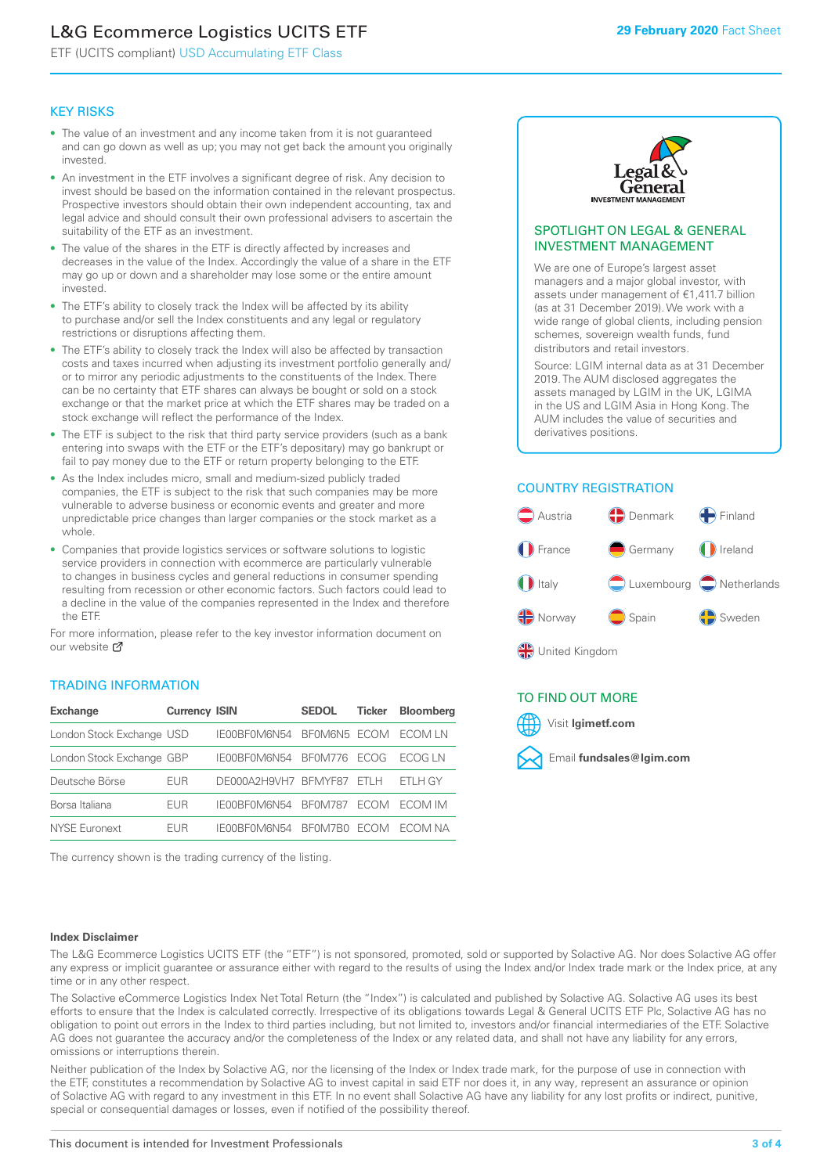### L&G Ecommerce Logistics UCITS ETF

ETF (UCITS compliant) USD Accumulating ETF Class

### KEY RISKS

- The value of an investment and any income taken from it is not guaranteed and can go down as well as up; you may not get back the amount you originally invested.
- An investment in the ETF involves a significant degree of risk. Any decision to invest should be based on the information contained in the relevant prospectus. Prospective investors should obtain their own independent accounting, tax and legal advice and should consult their own professional advisers to ascertain the suitability of the ETF as an investment.
- The value of the shares in the ETF is directly affected by increases and decreases in the value of the Index. Accordingly the value of a share in the ETF may go up or down and a shareholder may lose some or the entire amount invested.
- The ETF's ability to closely track the Index will be affected by its ability to purchase and/or sell the Index constituents and any legal or regulatory restrictions or disruptions affecting them.
- The ETF's ability to closely track the Index will also be affected by transaction costs and taxes incurred when adjusting its investment portfolio generally and/ or to mirror any periodic adjustments to the constituents of the Index. There can be no certainty that ETF shares can always be bought or sold on a stock exchange or that the market price at which the ETF shares may be traded on a stock exchange will reflect the performance of the Index.
- The ETF is subject to the risk that third party service providers (such as a bank entering into swaps with the ETF or the ETF's depositary) may go bankrupt or fail to pay money due to the ETF or return property belonging to the ETF.
- As the Index includes micro, small and medium-sized publicly traded companies, the ETF is subject to the risk that such companies may be more vulnerable to adverse business or economic events and greater and more unpredictable price changes than larger companies or the stock market as a whole.
- Companies that provide logistics services or software solutions to logistic service providers in connection with ecommerce are particularly vulnerable to changes in business cycles and general reductions in consumer spending resulting from recession or other economic factors. Such factors could lead to a decline in the value of the companies represented in the Index and therefore the ETF.

For more information, please refer to the key investor information document on our website **Z** 

### TRADING INFORMATION

| <b>Exchange</b>           | <b>Currency ISIN</b> |                      | <b>SEDOL</b>   | <b>Ticker</b> | Bloomberg |
|---------------------------|----------------------|----------------------|----------------|---------------|-----------|
| London Stock Exchange USD |                      | IE00BF0M6N54         | BFOM6N5 ECOM   |               | ECOM IN   |
| London Stock Exchange GBP |                      | IE00BF0M6N54         | <b>BF0M776</b> | <b>FCOG</b>   | FCOG IN   |
| Deutsche Börse            | EUR                  | DE000A2H9VH7 BFMYF87 |                | FTI H         | ETLH GY   |
| Borsa Italiana            | EUR                  | IF00BF0M6N54         | <b>BF0M787</b> | <b>FCOM</b>   | ECOM IM   |
| <b>NYSE Euronext</b>      | <b>FUR</b>           | IF00BF0M6N54         | BF0M7B0        | <b>FCOM</b>   | FCOM NA   |

The currency shown is the trading currency of the listing.



### SPOTLIGHT ON LEGAL & GENERAL INVESTMENT MANAGEMENT

We are one of Europe's largest asset managers and a major global investor, with assets under management of €1,411.7 billion (as at 31 December 2019). We work with a wide range of global clients, including pension schemes, sovereign wealth funds, fund distributors and retail investors.

Source: LGIM internal data as at 31 December 2019. The AUM disclosed aggregates the assets managed by LGIM in the UK, LGIMA in the US and LGIM Asia in Hong Kong. The AUM includes the value of securities and derivatives positions.

### COUNTRY REGISTRATION



### TO FIND OUT MORE



#### **Index Disclaimer**

The L&G Ecommerce Logistics UCITS ETF (the "ETF") is not sponsored, promoted, sold or supported by Solactive AG. Nor does Solactive AG offer any express or implicit guarantee or assurance either with regard to the results of using the Index and/or Index trade mark or the Index price, at any time or in any other respect.

The Solactive eCommerce Logistics Index Net Total Return (the "Index") is calculated and published by Solactive AG. Solactive AG uses its best efforts to ensure that the Index is calculated correctly. Irrespective of its obligations towards Legal & General UCITS ETF Plc, Solactive AG has no obligation to point out errors in the Index to third parties including, but not limited to, investors and/or financial intermediaries of the ETF. Solactive AG does not guarantee the accuracy and/or the completeness of the Index or any related data, and shall not have any liability for any errors, omissions or interruptions therein.

Neither publication of the Index by Solactive AG, nor the licensing of the Index or Index trade mark, for the purpose of use in connection with the ETF, constitutes a recommendation by Solactive AG to invest capital in said ETF nor does it, in any way, represent an assurance or opinion of Solactive AG with regard to any investment in this ETF. In no event shall Solactive AG have any liability for any lost profits or indirect, punitive, special or consequential damages or losses, even if notified of the possibility thereof.